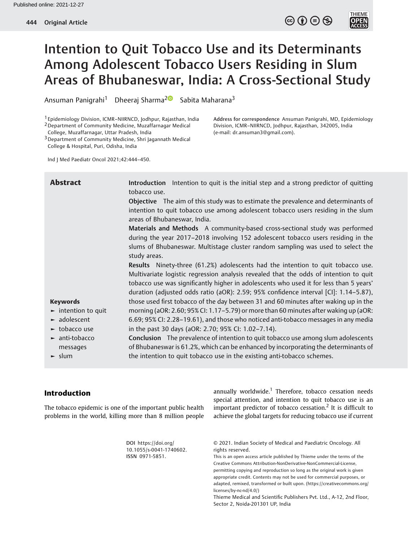

**THIEME** 

# Intention to Quit Tobacco Use and its Determinants Among Adolescent Tobacco Users Residing in Slum Areas of Bhubaneswar, India: A Cross-Sectional Study

Ansuman Panigrahi<sup>1</sup> Dheeraj Sharma<sup>2</sup> Sabita Maharana<sup>3</sup>

1 Epidemiology Division, ICMR–NIIRNCD, Jodhpur, Rajasthan, India 2Department of Community Medicine, Muzaffarnagar Medical

College, Muzaffarnagar, Uttar Pradesh, India

3Department of Community Medicine, Shri Jagannath Medical College & Hospital, Puri, Odisha, India

Address for correspondence Ansuman Panigrahi, MD, Epidemiology Division, ICMR–NIIRNCD, Jodhpur, Rajasthan, 342005, India (e-mail: [dr.ansuman3@gmail.com\)](mailto:dr.ansuman3@gmail.com).

Ind J Med Paediatr Oncol 2021;42:444–450.

| <b>Abstract</b>                         | Introduction Intention to quit is the initial step and a strong predictor of quitting<br>tobacco use.                                                                                                   |  |  |  |
|-----------------------------------------|---------------------------------------------------------------------------------------------------------------------------------------------------------------------------------------------------------|--|--|--|
|                                         | Objective The aim of this study was to estimate the prevalence and determinants of<br>intention to quit tobacco use among adolescent tobacco users residing in the slum<br>areas of Bhubaneswar, India. |  |  |  |
|                                         | Materials and Methods A community-based cross-sectional study was performed                                                                                                                             |  |  |  |
|                                         | during the year 2017-2018 involving 152 adolescent tobacco users residing in the                                                                                                                        |  |  |  |
|                                         | slums of Bhubaneswar. Multistage cluster random sampling was used to select the<br>study areas.                                                                                                         |  |  |  |
|                                         | Results Ninety-three (61.2%) adolescents had the intention to quit tobacco use.                                                                                                                         |  |  |  |
|                                         | Multivariate logistic regression analysis revealed that the odds of intention to quit                                                                                                                   |  |  |  |
|                                         | tobacco use was significantly higher in adolescents who used it for less than 5 years'                                                                                                                  |  |  |  |
|                                         | duration (adjusted odds ratio (aOR): 2.59; 95% confidence interval [CI]: 1.14-5.87),                                                                                                                    |  |  |  |
| <b>Keywords</b>                         | those used first tobacco of the day between 31 and 60 minutes after waking up in the                                                                                                                    |  |  |  |
| $\blacktriangleright$ intention to quit | morning (aOR: 2.60; 95% CI: 1.17–5.79) or more than 60 minutes after waking up (aOR:                                                                                                                    |  |  |  |
| adolescent                              | 6.69; 95% CI: 2.28-19.61), and those who noticed anti-tobacco messages in any media                                                                                                                     |  |  |  |
| ► tobacco use                           | in the past 30 days (aOR: 2.70; 95% CI: 1.02-7.14).                                                                                                                                                     |  |  |  |
| $\blacktriangleright$ anti-tobacco      | <b>Conclusion</b> The prevalence of intention to quit tobacco use among slum adolescents                                                                                                                |  |  |  |
| messages                                | of Bhubaneswar is 61.2%, which can be enhanced by incorporating the determinants of                                                                                                                     |  |  |  |
| $\blacktriangleright$ slum              | the intention to quit tobacco use in the existing anti-tobacco schemes.                                                                                                                                 |  |  |  |

# Introduction

The tobacco epidemic is one of the important public health problems in the world, killing more than 8 million people

annually worldwide.<sup>1</sup> Therefore, tobacco cessation needs special attention, and intention to quit tobacco use is an important predictor of tobacco cessation.<sup>2</sup> It is difficult to achieve the global targets for reducing tobacco use if current

DOI [https://doi.org/](https://doi.org/10.1055/s-0041-1740602) [10.1055/s-0041-1740602](https://doi.org/10.1055/s-0041-1740602). ISSN 0971-5851.

© 2021. Indian Society of Medical and Paediatric Oncology. All rights reserved.

This is an open access article published by Thieme under the terms of the Creative Commons Attribution-NonDerivative-NonCommercial-License, permitting copying and reproduction so long as the original work is given appropriate credit. Contents may not be used for commercial purposes, or adapted, remixed, transformed or built upon. (https://creativecommons.org/ licenses/by-nc-nd/4.0/)

Thieme Medical and Scientific Publishers Pvt. Ltd., A-12, 2nd Floor, Sector 2, Noida-201301 UP, India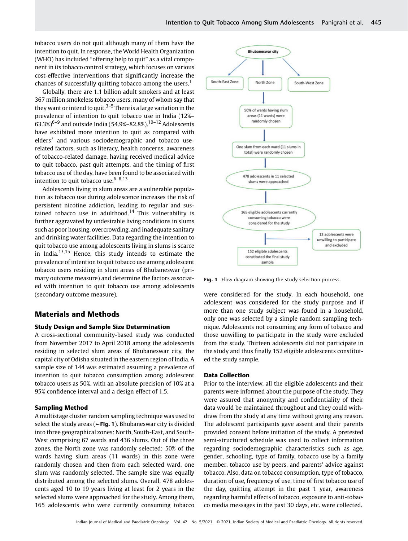tobacco users do not quit although many of them have the intention to quit. In response, the World Health Organization (WHO) has included "offering help to quit" as a vital component in its tobacco control strategy, which focuses on various cost-effective interventions that significantly increase the chances of successfully quitting tobacco among the users.<sup>1</sup>

Globally, there are 1.1 billion adult smokers and at least 367 million smokeless tobacco users, many of whom say that they want or intend to quit.<sup>3–5</sup> There is a large variation in the prevalence of intention to quit tobacco use in India (12%–  $(63.3\%)^{6-9}$  and outside India (54.9%–82.8%).<sup>10–12</sup> Adolescents have exhibited more intention to quit as compared with elders<sup>7</sup> and various sociodemographic and tobacco userelated factors, such as literacy, health concerns, awareness of tobacco-related damage, having received medical advice to quit tobacco, past quit attempts, and the timing of first tobacco use of the day, have been found to be associated with intention to quit tobacco use. $6-8,13$ 

Adolescents living in slum areas are a vulnerable population as tobacco use during adolescence increases the risk of persistent nicotine addiction, leading to regular and sustained tobacco use in adulthood.<sup>14</sup> This vulnerability is further aggravated by undesirable living conditions in slums such as poor housing, overcrowding, and inadequate sanitary and drinking water facilities. Data regarding the intention to quit tobacco use among adolescents living in slums is scarce in India.13,15 Hence, this study intends to estimate the prevalence of intention to quit tobacco use among adolescent tobacco users residing in slum areas of Bhubaneswar (primary outcome measure) and determine the factors associated with intention to quit tobacco use among adolescents (secondary outcome measure).

## Materials and Methods

## Study Design and Sample Size Determination

A cross-sectional community-based study was conducted from November 2017 to April 2018 among the adolescents residing in selected slum areas of Bhubaneswar city, the capital city of Odisha situated in the eastern region of India. A sample size of 144 was estimated assuming a prevalence of intention to quit tobacco consumption among adolescent tobacco users as 50%, with an absolute precision of 10% at a 95% confidence interval and a design effect of 1.5.

#### Sampling Method

A multistage cluster random sampling technique was used to select the study areas ( $\blacktriangleright$ Fig. 1). Bhubaneswar city is divided into three geographical zones: North, South-East, and South-West comprising 67 wards and 436 slums. Out of the three zones, the North zone was randomly selected; 50% of the wards having slum areas (11 wards) in this zone were randomly chosen and then from each selected ward, one slum was randomly selected. The sample size was equally distributed among the selected slums. Overall, 478 adolescents aged 10 to 19 years living at least for 2 years in the selected slums were approached for the study. Among them, 165 adolescents who were currently consuming tobacco



Fig. 1 Flow diagram showing the study selection process.

were considered for the study. In each household, one adolescent was considered for the study purpose and if more than one study subject was found in a household, only one was selected by a simple random sampling technique. Adolescents not consuming any form of tobacco and those unwilling to participate in the study were excluded from the study. Thirteen adolescents did not participate in the study and thus finally 152 eligible adolescents constituted the study sample.

#### Data Collection

Prior to the interview, all the eligible adolescents and their parents were informed about the purpose of the study. They were assured that anonymity and confidentiality of their data would be maintained throughout and they could withdraw from the study at any time without giving any reason. The adolescent participants gave assent and their parents provided consent before initiation of the study. A pretested semi-structured schedule was used to collect information regarding sociodemographic characteristics such as age, gender, schooling, type of family, tobacco use by a family member, tobacco use by peers, and parents' advice against tobacco. Also, data on tobacco consumption, type of tobacco, duration of use, frequency of use, time of first tobacco use of the day, quitting attempt in the past 1 year, awareness regarding harmful effects of tobacco, exposure to anti-tobacco media messages in the past 30 days, etc. were collected.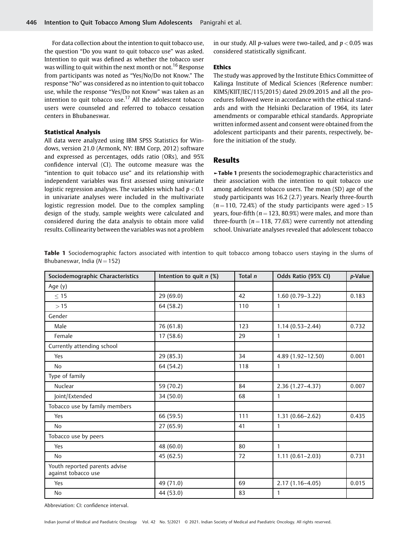For data collection about the intention to quit tobacco use, the question "Do you want to quit tobacco use" was asked. Intention to quit was defined as whether the tobacco user was willing to quit within the next month or not.<sup>16</sup> Response from participants was noted as "Yes/No/Do not Know." The response "No" was considered as no intention to quit tobacco use, while the response "Yes/Do not Know" was taken as an intention to quit tobacco use.<sup>17</sup> All the adolescent tobacco users were counseled and referred to tobacco cessation centers in Bhubaneswar.

#### Statistical Analysis

All data were analyzed using IBM SPSS Statistics for Windows, version 21.0 (Armonk, NY: IBM Corp, 2012) software and expressed as percentages, odds ratio (ORs), and 95% confidence interval (CI). The outcome measure was the "intention to quit tobacco use" and its relationship with independent variables was first assessed using univariate logistic regression analyses. The variables which had  $p < 0.1$ in univariate analyses were included in the multivariate logistic regression model. Due to the complex sampling design of the study, sample weights were calculated and considered during the data analysis to obtain more valid results. Collinearity between the variables was not a problem in our study. All p-values were two-tailed, and  $p < 0.05$  was considered statistically significant.

## Ethics

The study was approved by the Institute Ethics Committee of Kalinga Institute of Medical Sciences (Reference number: KIMS/KIIT/IEC/115/2015) dated 29.09.2015 and all the procedures followed were in accordance with the ethical standards and with the Helsinki Declaration of 1964, its later amendments or comparable ethical standards. Appropriate written informed assent and consent were obtained from the adolescent participants and their parents, respectively, before the initiation of the study.

## Results

►Table 1 presents the sociodemographic characteristics and their association with the intention to quit tobacco use among adolescent tobacco users. The mean (SD) age of the study participants was 16.2 (2.7) years. Nearly three-fourth  $(n = 110, 72.4%)$  of the study participants were aged > 15 years, four-fifth ( $n = 123$ , 80.9%) were males, and more than three-fourth ( $n = 118$ , 77.6%) were currently not attending school. Univariate analyses revealed that adolescent tobacco

Table 1 Sociodemographic factors associated with intention to quit tobacco among tobacco users staying in the slums of Bhubaneswar, India ( $N = 152$ )

| Sociodemographic Characteristics                     | Intention to quit $n$ (%) | Total n | Odds Ratio (95% CI) | p-Value |
|------------------------------------------------------|---------------------------|---------|---------------------|---------|
| Age (y)                                              |                           |         |                     |         |
| $\leq 15$                                            | 29(69.0)                  | 42      | $1.60(0.79 - 3.22)$ | 0.183   |
| >15                                                  | 64 (58.2)                 | 110     | $\mathbf{1}$        |         |
| Gender                                               |                           |         |                     |         |
| Male                                                 | 76 (61.8)                 | 123     | $1.14(0.53 - 2.44)$ | 0.732   |
| Female                                               | 17 (58.6)                 | 29      | 1                   |         |
| Currently attending school                           |                           |         |                     |         |
| Yes                                                  | 29 (85.3)                 | 34      | 4.89 (1.92-12.50)   | 0.001   |
| <b>No</b>                                            | 64 (54.2)                 | 118     | 1                   |         |
| Type of family                                       |                           |         |                     |         |
| Nuclear                                              | 59 (70.2)                 | 84      | $2.36(1.27 - 4.37)$ | 0.007   |
| Joint/Extended                                       | 34 (50.0)                 | 68      | 1                   |         |
| Tobacco use by family members                        |                           |         |                     |         |
| Yes                                                  | 66 (59.5)                 | 111     | $1.31(0.66 - 2.62)$ | 0.435   |
| <b>No</b>                                            | 27(65.9)                  | 41      | 1                   |         |
| Tobacco use by peers                                 |                           |         |                     |         |
| Yes                                                  | 48 (60.0)                 | 80      | 1                   |         |
| <b>No</b>                                            | 45 (62.5)                 | 72      | $1.11(0.61 - 2.03)$ | 0.731   |
| Youth reported parents advise<br>against tobacco use |                           |         |                     |         |
| Yes                                                  | 49 (71.0)                 | 69      | $2.17(1.16-4.05)$   | 0.015   |
| No                                                   | 44 (53.0)                 | 83      | 1                   |         |

Abbreviation: CI: confidence interval.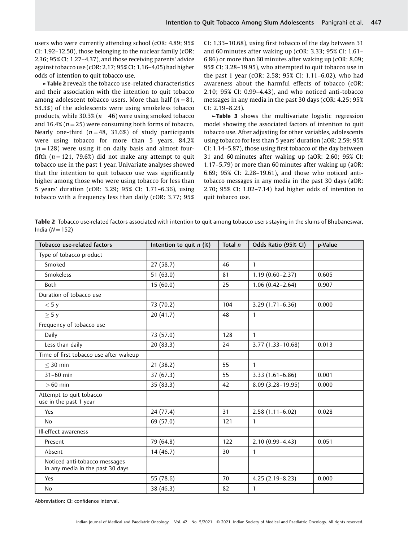users who were currently attending school (cOR: 4.89; 95% CI: 1.92–12.50), those belonging to the nuclear family (cOR: 2.36; 95% CI: 1.27–4.37), and those receiving parents' advice against tobacco use (cOR: 2.17; 95% CI: 1.16–4.05) had higher odds of intention to quit tobacco use.

►Table 2 reveals the tobacco use-related characteristics and their association with the intention to quit tobacco among adolescent tobacco users. More than half ( $n = 81$ , 53.3%) of the adolescents were using smokeless tobacco products, while 30.3% ( $n = 46$ ) were using smoked tobacco and 16.4% ( $n = 25$ ) were consuming both forms of tobacco. Nearly one-third ( $n = 48$ , 31.6%) of study participants were using tobacco for more than 5 years, 84.2%  $(n = 128)$  were using it on daily basis and almost fourfifth  $(n = 121, 79.6%)$  did not make any attempt to quit tobacco use in the past 1 year. Univariate analyses showed that the intention to quit tobacco use was significantly higher among those who were using tobacco for less than 5 years' duration (cOR: 3.29; 95% CI: 1.71–6.36), using tobacco with a frequency less than daily (cOR: 3.77; 95%

CI: 1.33–10.68), using first tobacco of the day between 31 and 60 minutes after waking up (cOR: 3.33; 95% CI: 1.61– 6.86) or more than 60 minutes after waking up (cOR: 8.09; 95% CI: 3.28–19.95), who attempted to quit tobacco use in the past 1 year (cOR: 2.58; 95% CI: 1.11–6.02), who had awareness about the harmful effects of tobacco (cOR: 2.10; 95% CI: 0.99–4.43), and who noticed anti-tobacco messages in any media in the past 30 days (cOR: 4.25; 95% CI: 2.19–8.23).

►Table 3 shows the multivariate logistic regression model showing the associated factors of intention to quit tobacco use. After adjusting for other variables, adolescents using tobacco for less than 5 years' duration (aOR: 2.59; 95% CI: 1.14–5.87), those using first tobacco of the day between 31 and 60 minutes after waking up (aOR: 2.60; 95% CI: 1.17–5.79) or more than 60 minutes after waking up (aOR: 6.69; 95% CI: 2.28–19.61), and those who noticed antitobacco messages in any media in the past 30 days (aOR: 2.70; 95% CI: 1.02–7.14) had higher odds of intention to quit tobacco use.

Table 2 Tobacco use-related factors associated with intention to quit among tobacco users staying in the slums of Bhubaneswar, India ( $N = 152$ )

| <b>Tobacco use-related factors</b>                                | Intention to quit $n$ (%) | Total n | Odds Ratio (95% CI)  | p-Value |
|-------------------------------------------------------------------|---------------------------|---------|----------------------|---------|
| Type of tobacco product                                           |                           |         |                      |         |
| Smoked                                                            | 27 (58.7)                 | 46      | $\mathbf{1}$         |         |
| <b>Smokeless</b>                                                  | 51(63.0)                  | 81      | $1.19(0.60 - 2.37)$  | 0.605   |
| Both                                                              | 15(60.0)                  | 25      | $1.06(0.42 - 2.64)$  | 0.907   |
| Duration of tobacco use                                           |                           |         |                      |         |
| < 5y                                                              | 73 (70.2)                 | 104     | $3.29(1.71 - 6.36)$  | 0.000   |
| $\geq$ 5 y                                                        | 20(41.7)                  | 48      | $\mathbf{1}$         |         |
| Frequency of tobacco use                                          |                           |         |                      |         |
| Daily                                                             | 73 (57.0)                 | 128     | $\mathbf{1}$         |         |
| Less than daily                                                   | 20(83.3)                  | 24      | $3.77(1.33 - 10.68)$ | 0.013   |
| Time of first tobacco use after wakeup                            |                           |         |                      |         |
| $<$ 30 min                                                        | 21(38.2)                  | 55      | $\mathbf{1}$         |         |
| 31-60 min                                                         | 37 (67.3)                 | 55      | $3.33(1.61 - 6.86)$  | 0.001   |
| $>60$ min                                                         | 35 (83.3)                 | 42      | 8.09 (3.28-19.95)    | 0.000   |
| Attempt to quit tobacco<br>use in the past 1 year                 |                           |         |                      |         |
| Yes                                                               | 24 (77.4)                 | 31      | $2.58(1.11-6.02)$    | 0.028   |
| <b>No</b>                                                         | 69 (57.0)                 | 121     | $\mathbf{1}$         |         |
| Ill-effect awareness                                              |                           |         |                      |         |
| Present                                                           | 79 (64.8)                 | 122     | $2.10(0.99 - 4.43)$  | 0.051   |
| Absent                                                            | 14(46.7)                  | 30      | $\mathbf{1}$         |         |
| Noticed anti-tobacco messages<br>in any media in the past 30 days |                           |         |                      |         |
| Yes                                                               | 55 (78.6)                 | 70      | $4.25(2.19-8.23)$    | 0.000   |
| <b>No</b>                                                         | 38 (46.3)                 | 82      | $\mathbf{1}$         |         |

Abbreviation: CI: confidence interval.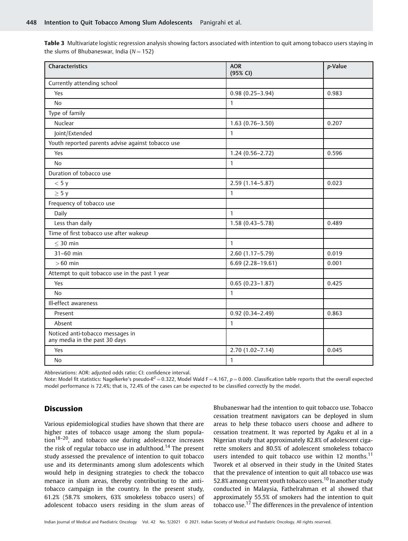Table 3 Multivariate logistic regression analysis showing factors associated with intention to quit among tobacco users staying in the slums of Bhubaneswar, India ( $N = 152$ )

| Characteristics                                                   | <b>AOR</b><br>(95% CI) | p-Value |
|-------------------------------------------------------------------|------------------------|---------|
| Currently attending school                                        |                        |         |
| Yes                                                               | $0.98(0.25 - 3.94)$    | 0.983   |
| <b>No</b>                                                         | $\mathbf{1}$           |         |
| Type of family                                                    |                        |         |
| Nuclear                                                           | $1.63(0.76 - 3.50)$    | 0.207   |
| Joint/Extended                                                    | $\mathbf{1}$           |         |
| Youth reported parents advise against tobacco use                 |                        |         |
| Yes                                                               | $1.24(0.56 - 2.72)$    | 0.596   |
| <b>No</b>                                                         | $\mathbf{1}$           |         |
| Duration of tobacco use                                           |                        |         |
| < 5 y                                                             | 2.59 (1.14-5.87)       | 0.023   |
| $\geq$ 5 y                                                        | $\mathbf{1}$           |         |
| Frequency of tobacco use                                          |                        |         |
| Daily                                                             | $\mathbf{1}$           |         |
| Less than daily                                                   | $1.58(0.43 - 5.78)$    | 0.489   |
| Time of first tobacco use after wakeup                            |                        |         |
| $<$ 30 min                                                        | $\mathbf{1}$           |         |
| 31-60 min                                                         | $2.60(1.17 - 5.79)$    | 0.019   |
| $>60$ min                                                         | $6.69(2.28 - 19.61)$   | 0.001   |
| Attempt to quit tobacco use in the past 1 year                    |                        |         |
| Yes                                                               | $0.65(0.23 - 1.87)$    | 0.425   |
| <b>No</b>                                                         | $\mathbf{1}$           |         |
| Ill-effect awareness                                              |                        |         |
| Present                                                           | $0.92(0.34 - 2.49)$    | 0.863   |
| Absent                                                            | $\mathbf{1}$           |         |
| Noticed anti-tobacco messages in<br>any media in the past 30 days |                        |         |
| Yes                                                               | $2.70(1.02 - 7.14)$    | 0.045   |
| <b>No</b>                                                         | $\mathbf{1}$           |         |

Abbreviations: AOR: adjusted odds ratio; CI: confidence interval.

Note: Model fit statistics: Nagelkerke's pseudo-R<sup>2</sup> = 0.322, Model Wald F = 4.167, p = 0.000. Classification table reports that the overall expected model performance is 72.4%; that is, 72.4% of the cases can be expected to be classified correctly by the model.

## **Discussion**

Various epidemiological studies have shown that there are higher rates of tobacco usage among the slum population $18-20$ , and tobacco use during adolescence increases the risk of regular tobacco use in adulthood.<sup>14</sup> The present study assessed the prevalence of intention to quit tobacco use and its determinants among slum adolescents which would help in designing strategies to check the tobacco menace in slum areas, thereby contributing to the antitobacco campaign in the country. In the present study, 61.2% (58.7% smokers, 63% smokeless tobacco users) of adolescent tobacco users residing in the slum areas of Bhubaneswar had the intention to quit tobacco use. Tobacco cessation treatment navigators can be deployed in slum areas to help these tobacco users choose and adhere to cessation treatment. It was reported by Agaku et al in a Nigerian study that approximately 82.8% of adolescent cigarette smokers and 80.5% of adolescent smokeless tobacco users intended to quit tobacco use within 12 months.<sup>11</sup> Tworek et al observed in their study in the United States that the prevalence of intention to quit all tobacco use was 52.8% among current youth tobacco users.<sup>10</sup> In another study conducted in Malaysia, Fathelrahman et al showed that approximately 55.5% of smokers had the intention to quit tobacco use.<sup>17</sup> The differences in the prevalence of intention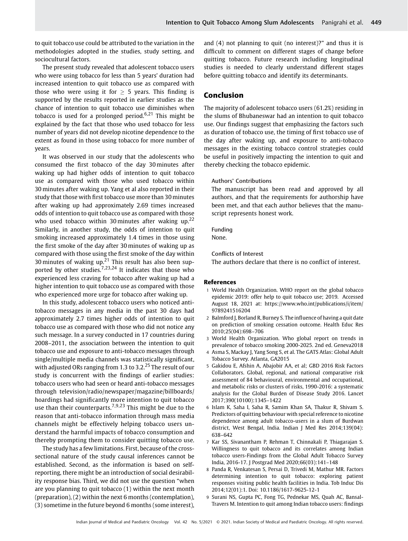to quit tobacco use could be attributed to the variation in the methodologies adopted in the studies, study setting, and sociocultural factors.

The present study revealed that adolescent tobacco users who were using tobacco for less than 5 years' duration had increased intention to quit tobacco use as compared with those who were using it for  $> 5$  years. This finding is supported by the results reported in earlier studies as the chance of intention to quit tobacco use diminishes when tobacco is used for a prolonged period.<sup>6,21</sup> This might be explained by the fact that those who used tobacco for less number of years did not develop nicotine dependence to the extent as found in those using tobacco for more number of years.

It was observed in our study that the adolescents who consumed the first tobacco of the day 30 minutes after waking up had higher odds of intention to quit tobacco use as compared with those who used tobacco within 30 minutes after waking up. Yang et al also reported in their study that those with first tobacco use more than 30 minutes after waking up had approximately 2.69 times increased odds of intention to quit tobacco use as compared with those who used tobacco within 30 minutes after waking up.<sup>22</sup> Similarly, in another study, the odds of intention to quit smoking increased approximately 1.4 times in those using the first smoke of the day after 30 minutes of waking up as compared with those using the first smoke of the day within 30 minutes of waking up. $21$  This result has also been supported by other studies.<sup>7,23,24</sup> It indicates that those who experienced less craving for tobacco after waking up had a higher intention to quit tobacco use as compared with those who experienced more urge for tobacco after waking up.

In this study, adolescent tobacco users who noticed antitobacco messages in any media in the past 30 days had approximately 2.7 times higher odds of intention to quit tobacco use as compared with those who did not notice any such message. In a survey conducted in 17 countries during 2008–2011, the association between the intention to quit tobacco use and exposure to anti-tobacco messages through single/multiple media channels was statistically significant, with adjusted ORs ranging from 1.3 to 3.2.<sup>25</sup> The result of our study is concurrent with the findings of earlier studies: tobacco users who had seen or heard anti-tobacco messages through television/radio/newspaper/magazine/billboards/ hoardings had significantly more intention to quit tobacco use than their counterparts.7,9,23 This might be due to the reason that anti-tobacco information through mass media channels might be effectively helping tobacco users understand the harmful impacts of tobacco consumption and thereby prompting them to consider quitting tobacco use.

The study has a few limitations. First, because of the crosssectional nature of the study causal inferences cannot be established. Second, as the information is based on selfreporting, there might be an introduction of social desirability response bias. Third, we did not use the question "when are you planning to quit tobacco (1) within the next month (preparation), (2) within the next 6 months (contemplation), (3) sometime in the future beyond 6 months (some interest),

and (4) not planning to quit (no interest)?" and thus it is difficult to comment on different stages of change before quitting tobacco. Future research including longitudinal studies is needed to clearly understand different stages before quitting tobacco and identify its determinants.

## Conclusion

The majority of adolescent tobacco users (61.2%) residing in the slums of Bhubaneswar had an intention to quit tobacco use. Our findings suggest that emphasizing the factors such as duration of tobacco use, the timing of first tobacco use of the day after waking up, and exposure to anti-tobacco messages in the existing tobacco control strategies could be useful in positively impacting the intention to quit and thereby checking the tobacco epidemic.

## Authors' Contributions

The manuscript has been read and approved by all authors, and that the requirements for authorship have been met, and that each author believes that the manuscript represents honest work.

#### Funding

None.

#### Conflicts of Interest

The authors declare that there is no conflict of interest.

#### References

- 1 World Health Organization. WHO report on the global tobacco epidemic 2019: offer help to quit tobacco use; 2019. Accessed August 18, 2021 at: [https://www.who.int/publications/i/item/](https://www.who.int/publications/i/item/9789241516204) [9789241516204](https://www.who.int/publications/i/item/9789241516204)
- 2 Balmford J, Borland R, Burney S. The influence of having a quit date on prediction of smoking cessation outcome. Health Educ Res 2010;25(04):698–706
- 3 World Health Organization. Who global report on trends in prevalence of tobacco smoking 2000-2025. 2nd ed. Geneva2018
- 4 Asma S, Mackay J, Yang Song S, et al. The GATS Atlas: Global Adult Tobacco Survey. Atlanta, GA2015
- 5 Gakidou E, Afshin A, Abajobir AA, et al; GBD 2016 Risk Factors Collaborators. Global, regional, and national comparative risk assessment of 84 behavioural, environmental and occupational, and metabolic risks or clusters of risks, 1990-2016: a systematic analysis for the Global Burden of Disease Study 2016. Lancet 2017;390(10100):1345–1422
- 6 Islam K, Saha I, Saha R, Samim Khan SA, Thakur R, Shivam S. Predictors of quitting behaviour with special reference to nicotine dependence among adult tobacco-users in a slum of Burdwan district, West Bengal, India. Indian J Med Res 2014;139(04): 638–642
- 7 Kar SS, Sivanantham P, Rehman T, Chinnakali P, Thiagarajan S. Willingness to quit tobacco and its correlates among Indian tobacco users-Findings from the Global Adult Tobacco Survey India, 2016-17. J Postgrad Med 2020;66(03):141–148
- 8 Panda R, Venkatesan S, Persai D, Trivedi M, Mathur MR. Factors determining intention to quit tobacco: exploring patient responses visiting public health facilities in India. Tob Induc Dis 2014;12(01):1. Doi: 10.1186/1617-9625-12-1
- 9 Surani NS, Gupta PC, Fong TG, Pednekar MS, Quah AC, Bansal-Travers M. Intention to quit among Indian tobacco users: findings